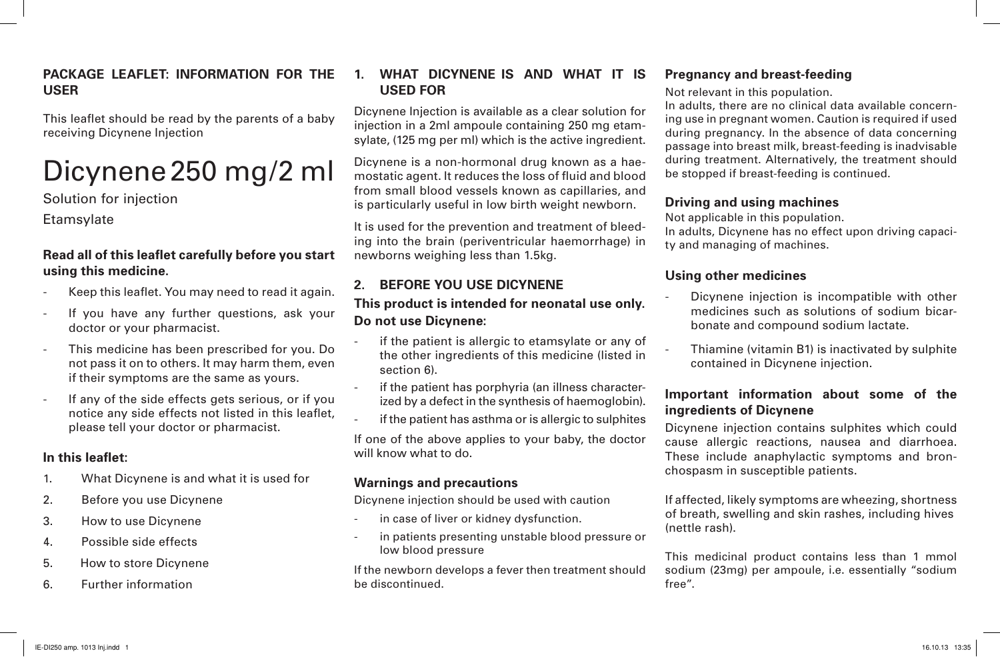#### **PACKAGE LEAFLET: INFORMATION FOR THE USER**

This leaflet should be read by the parents of a baby receiving Dicynene Injection

# Dicynene250 mg/2 ml

Solution for injection

**Etamsvlate** 

#### **Read all of this leaflet carefully before you start using this medicine.**

- Keep this leaflet. You may need to read it again.
- If you have any further questions, ask your doctor or your pharmacist.
- This medicine has been prescribed for you. Do not pass it on to others. It may harm them, even if their symptoms are the same as yours.
- If any of the side effects gets serious, or if you notice any side effects not listed in this leaflet, please tell your doctor or pharmacist.

#### **In this leaflet:**

- 1. What Dicynene is and what it is used for
- 2. Before you use Dicynene
- 3. How to use Dicynene
- 4. Possible side effects
- 5. How to store Dicynene
- 6. Further information

#### **1. WHAT DICYNENE IS AND WHAT IT IS USED FOR**

Dicynene Injection is available as a clear solution for injection in a 2ml ampoule containing 250 mg etamsylate, (125 mg per ml) which is the active ingredient.

Dicynene is a non-hormonal drug known as a haemostatic agent. It reduces the loss of fluid and blood from small blood vessels known as capillaries, and is particularly useful in low birth weight newborn.

It is used for the prevention and treatment of bleeding into the brain (periventricular haemorrhage) in newborns weighing less than 1.5kg.

## **2. BEFORE YOU USE DICYNENE**

## **This product is intended for neonatal use only. Do not use Dicynene:**

- if the patient is allergic to etamsylate or any of the other ingredients of this medicine (listed in section 6).
- if the patient has porphyria (an illness characterized by a defect in the synthesis of haemoglobin).
- if the patient has asthma or is allergic to sulphites

If one of the above applies to your baby, the doctor will know what to do.

## **Warnings and precautions**

Dicynene injection should be used with caution

- in case of liver or kidney dysfunction.
- in patients presenting unstable blood pressure or low blood pressure

If the newborn develops a fever then treatment should be discontinued.

## **Pregnancy and breast-feeding**

Not relevant in this population.

In adults, there are no clinical data available concerning use in pregnant women. Caution is required if used during pregnancy. In the absence of data concerning passage into breast milk, breast-feeding is inadvisable during treatment. Alternatively, the treatment should be stopped if breast-feeding is continued.

#### **Driving and using machines**

Not applicable in this population.

In adults, Dicynene has no effect upon driving capacity and managing of machines.

## **Using other medicines**

- Dicynene injection is incompatible with other medicines such as solutions of sodium bicarbonate and compound sodium lactate.
- Thiamine (vitamin B1) is inactivated by sulphite contained in Dicynene injection.

## **Important information about some of the ingredients of Dicynene**

Dicynene injection contains sulphites which could cause allergic reactions, nausea and diarrhoea. These include anaphylactic symptoms and bronchospasm in susceptible patients.

If affected, likely symptoms are wheezing, shortness of breath, swelling and skin rashes, including hives (nettle rash).

This medicinal product contains less than 1 mmol sodium (23mg) per ampoule, i.e. essentially "sodium free".